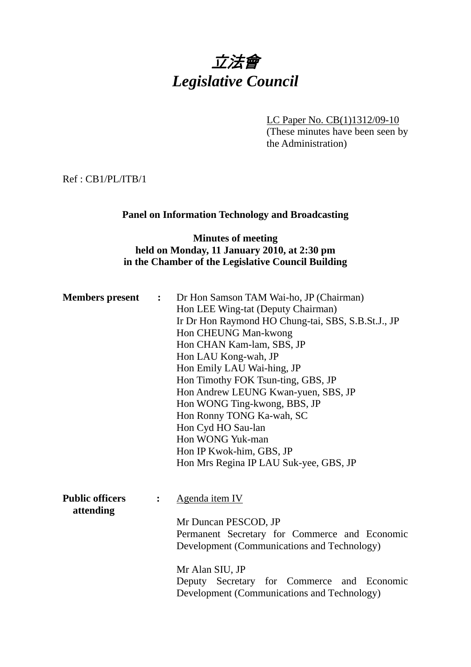# 立法會 *Legislative Council*

LC Paper No. CB(1)1312/09-10 (These minutes have been seen by the Administration)

Ref : CB1/PL/ITB/1

#### **Panel on Information Technology and Broadcasting**

#### **Minutes of meeting held on Monday, 11 January 2010, at 2:30 pm in the Chamber of the Legislative Council Building**

| <b>Members</b> present              | $\mathbf{L}$ | Dr Hon Samson TAM Wai-ho, JP (Chairman)<br>Hon LEE Wing-tat (Deputy Chairman)<br>Ir Dr Hon Raymond HO Chung-tai, SBS, S.B.St.J., JP<br>Hon CHEUNG Man-kwong<br>Hon CHAN Kam-lam, SBS, JP<br>Hon LAU Kong-wah, JP<br>Hon Emily LAU Wai-hing, JP<br>Hon Timothy FOK Tsun-ting, GBS, JP<br>Hon Andrew LEUNG Kwan-yuen, SBS, JP<br>Hon WONG Ting-kwong, BBS, JP<br>Hon Ronny TONG Ka-wah, SC<br>Hon Cyd HO Sau-lan<br>Hon WONG Yuk-man<br>Hon IP Kwok-him, GBS, JP<br>Hon Mrs Regina IP LAU Suk-yee, GBS, JP |
|-------------------------------------|--------------|----------------------------------------------------------------------------------------------------------------------------------------------------------------------------------------------------------------------------------------------------------------------------------------------------------------------------------------------------------------------------------------------------------------------------------------------------------------------------------------------------------|
| <b>Public officers</b><br>attending |              | Agenda item IV<br>Mr Duncan PESCOD, JP<br>Permanent Secretary for Commerce and Economic<br>Development (Communications and Technology)<br>Mr Alan SIU, JP<br>Deputy Secretary for Commerce and Economic<br>Development (Communications and Technology)                                                                                                                                                                                                                                                   |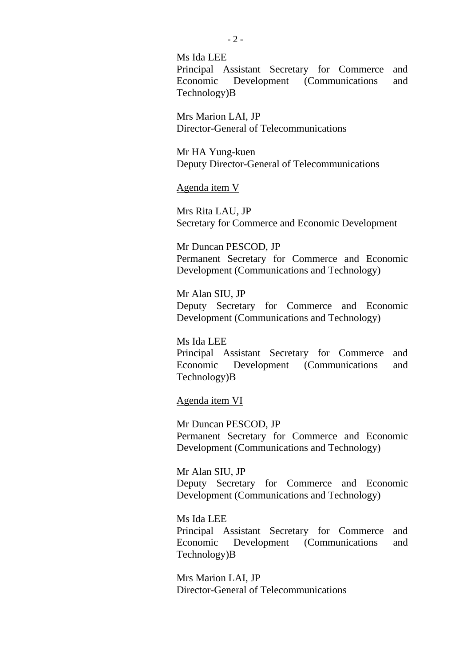Ms Ida LEE Principal Assistant Secretary for Commerce and Economic Development (Communications and Technology)B

Mrs Marion LAI, JP Director-General of Telecommunications

Mr HA Yung-kuen Deputy Director-General of Telecommunications

Agenda item V

Mrs Rita LAU, JP Secretary for Commerce and Economic Development

Mr Duncan PESCOD, JP Permanent Secretary for Commerce and Economic Development (Communications and Technology)

Mr Alan SIU, JP Deputy Secretary for Commerce and Economic Development (Communications and Technology)

Ms Ida LEE Principal Assistant Secretary for Commerce and Economic Development (Communications and Technology)B

#### Agenda item VI

Mr Duncan PESCOD, JP Permanent Secretary for Commerce and Economic Development (Communications and Technology)

Mr Alan SIU, JP Deputy Secretary for Commerce and Economic Development (Communications and Technology)

Ms Ida LEE Principal Assistant Secretary for Commerce and Economic Development (Communications and Technology)B

Mrs Marion LAI, JP Director-General of Telecommunications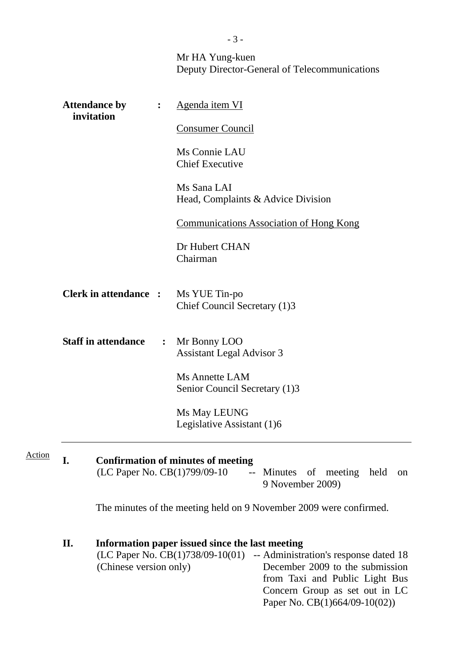|        |                                                                                                                                                                                                                                                                                                       |                | Mr HA Yung-kuen                                                                                                                              |  |  |  |  |
|--------|-------------------------------------------------------------------------------------------------------------------------------------------------------------------------------------------------------------------------------------------------------------------------------------------------------|----------------|----------------------------------------------------------------------------------------------------------------------------------------------|--|--|--|--|
|        |                                                                                                                                                                                                                                                                                                       |                | Deputy Director-General of Telecommunications                                                                                                |  |  |  |  |
|        | <b>Attendance by</b>                                                                                                                                                                                                                                                                                  | $\ddot{\cdot}$ | Agenda item VI                                                                                                                               |  |  |  |  |
|        | invitation                                                                                                                                                                                                                                                                                            |                | <b>Consumer Council</b>                                                                                                                      |  |  |  |  |
|        |                                                                                                                                                                                                                                                                                                       |                | Ms Connie LAU<br><b>Chief Executive</b>                                                                                                      |  |  |  |  |
|        |                                                                                                                                                                                                                                                                                                       |                | Ms Sana LAI<br>Head, Complaints & Advice Division                                                                                            |  |  |  |  |
|        |                                                                                                                                                                                                                                                                                                       |                | <b>Communications Association of Hong Kong</b>                                                                                               |  |  |  |  |
|        |                                                                                                                                                                                                                                                                                                       |                | Dr Hubert CHAN<br>Chairman                                                                                                                   |  |  |  |  |
|        | <b>Clerk in attendance:</b><br><b>Staff in attendance</b><br>$\ddot{\bullet}$                                                                                                                                                                                                                         |                | Ms YUE Tin-po<br>Chief Council Secretary (1)3<br>Mr Bonny LOO<br><b>Assistant Legal Advisor 3</b>                                            |  |  |  |  |
|        |                                                                                                                                                                                                                                                                                                       |                |                                                                                                                                              |  |  |  |  |
|        |                                                                                                                                                                                                                                                                                                       |                | <b>Ms Annette LAM</b><br>Senior Council Secretary (1)3                                                                                       |  |  |  |  |
|        |                                                                                                                                                                                                                                                                                                       |                | Ms May LEUNG<br>Legislative Assistant (1)6                                                                                                   |  |  |  |  |
|        |                                                                                                                                                                                                                                                                                                       |                |                                                                                                                                              |  |  |  |  |
| Action | I.                                                                                                                                                                                                                                                                                                    |                | <b>Confirmation of minutes of meeting</b><br>(LC Paper No. CB(1)799/09-10<br>-- Minutes of meeting held<br><sub>on</sub><br>9 November 2009) |  |  |  |  |
|        |                                                                                                                                                                                                                                                                                                       |                | The minutes of the meeting held on 9 November 2009 were confirmed.                                                                           |  |  |  |  |
|        | II.<br>Information paper issued since the last meeting<br>(LC Paper No. CB(1)738/09-10(01)<br>-- Administration's response dated 18<br>December 2009 to the submission<br>(Chinese version only)<br>from Taxi and Public Light Bus<br>Concern Group as set out in LC<br>Paper No. CB(1)664/09-10(02)) |                |                                                                                                                                              |  |  |  |  |

- 3 -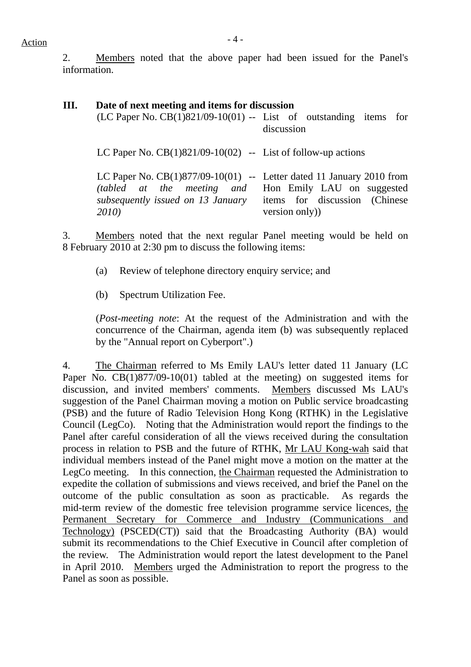## $Action$

2. Members noted that the above paper had been issued for the Panel's information.

#### **III. Date of next meeting and items for discussion**  $(LC$  Paper No.  $CB(1)821/09-10(01)$  -- List of outstanding items for discussion LC Paper No.  $CB(1)821/09-10(02)$  -- List of follow-up actions LC Paper No.  $CB(1)877/09-10(01)$  -- Letter dated 11 January 2010 from *(tabled at the meeting and subsequently issued on 13 January 2010)*  Hon Emily LAU on suggested items for discussion (Chinese version only))

3. Members noted that the next regular Panel meeting would be held on 8 February 2010 at 2:30 pm to discuss the following items:

- (a) Review of telephone directory enquiry service; and
- (b) Spectrum Utilization Fee.

(*Post-meeting note*: At the request of the Administration and with the concurrence of the Chairman, agenda item (b) was subsequently replaced by the "Annual report on Cyberport".)

4. The Chairman referred to Ms Emily LAU's letter dated 11 January (LC Paper No. CB(1)877/09-10(01) tabled at the meeting) on suggested items for discussion, and invited members' comments. Members discussed Ms LAU's suggestion of the Panel Chairman moving a motion on Public service broadcasting (PSB) and the future of Radio Television Hong Kong (RTHK) in the Legislative Council (LegCo). Noting that the Administration would report the findings to the Panel after careful consideration of all the views received during the consultation process in relation to PSB and the future of RTHK, Mr LAU Kong-wah said that individual members instead of the Panel might move a motion on the matter at the LegCo meeting. In this connection, the Chairman requested the Administration to expedite the collation of submissions and views received, and brief the Panel on the outcome of the public consultation as soon as practicable. As regards the mid-term review of the domestic free television programme service licences, the Permanent Secretary for Commerce and Industry (Communications and Technology) (PSCED(CT)) said that the Broadcasting Authority (BA) would submit its recommendations to the Chief Executive in Council after completion of the review. The Administration would report the latest development to the Panel in April 2010. Members urged the Administration to report the progress to the Panel as soon as possible.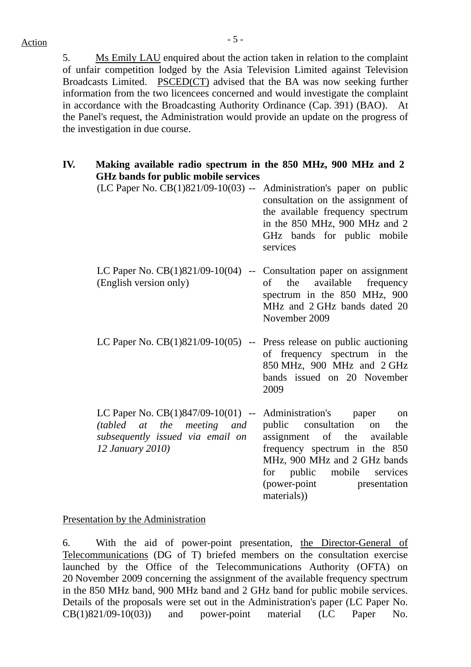5. Ms Emily LAU enquired about the action taken in relation to the complaint of unfair competition lodged by the Asia Television Limited against Television Broadcasts Limited. PSCED(CT) advised that the BA was now seeking further information from the two licencees concerned and would investigate the complaint in accordance with the Broadcasting Authority Ordinance (Cap. 391) (BAO). At the Panel's request, the Administration would provide an update on the progress of the investigation in due course.

**IV. Making available radio spectrum in the 850 MHz, 900 MHz and 2 GHz bands for public mobile services** (LC Paper No. CB(1)821/09-10(03) -- Administration's paper on public consultation on the assignment of the available frequency spectrum in the 850 MHz, 900 MHz and 2 GHz bands for public mobile services LC Paper No. CB(1)821/09-10(04) -- Consultation paper on assignment (English version only) of the available frequency spectrum in the 850 MHz, 900 MHz and 2 GHz bands dated 20 November 2009 LC Paper No.  $CB(1)821/09-10(05)$  -- Press release on public auctioning of frequency spectrum in the 850 MHz, 900 MHz and 2 GHz bands issued on 20 November 2009 LC Paper No. CB(1)847/09-10(01) -- Administration's paper on *(tabled at the meeting and subsequently issued via email on 12 January 2010)*  public consultation on the assignment of the available frequency spectrum in the 850 MHz, 900 MHz and 2 GHz bands for public mobile services (power-point presentation materials))

#### Presentation by the Administration

6. With the aid of power-point presentation, the Director-General of Telecommunications (DG of T) briefed members on the consultation exercise launched by the Office of the Telecommunications Authority (OFTA) on 20 November 2009 concerning the assignment of the available frequency spectrum in the 850 MHz band, 900 MHz band and 2 GHz band for public mobile services. Details of the proposals were set out in the Administration's paper (LC Paper No. CB(1)821/09-10(03)) and power-point material (LC Paper No.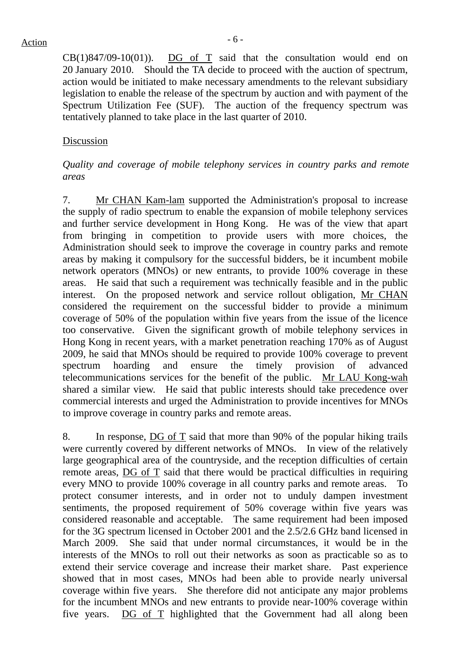$CB(1)847/09-10(01)$ . DG of T said that the consultation would end on 20 January 2010. Should the TA decide to proceed with the auction of spectrum, action would be initiated to make necessary amendments to the relevant subsidiary legislation to enable the release of the spectrum by auction and with payment of the Spectrum Utilization Fee (SUF). The auction of the frequency spectrum was tentatively planned to take place in the last quarter of 2010.

#### Discussion

#### *Quality and coverage of mobile telephony services in country parks and remote areas*

7. Mr CHAN Kam-lam supported the Administration's proposal to increase the supply of radio spectrum to enable the expansion of mobile telephony services and further service development in Hong Kong. He was of the view that apart from bringing in competition to provide users with more choices, the Administration should seek to improve the coverage in country parks and remote areas by making it compulsory for the successful bidders, be it incumbent mobile network operators (MNOs) or new entrants, to provide 100% coverage in these areas. He said that such a requirement was technically feasible and in the public interest. On the proposed network and service rollout obligation, Mr CHAN considered the requirement on the successful bidder to provide a minimum coverage of 50% of the population within five years from the issue of the licence too conservative. Given the significant growth of mobile telephony services in Hong Kong in recent years, with a market penetration reaching 170% as of August 2009, he said that MNOs should be required to provide 100% coverage to prevent spectrum hoarding and ensure the timely provision of advanced telecommunications services for the benefit of the public. Mr LAU Kong-wah shared a similar view. He said that public interests should take precedence over commercial interests and urged the Administration to provide incentives for MNOs to improve coverage in country parks and remote areas.

8. In response, DG of T said that more than 90% of the popular hiking trails were currently covered by different networks of MNOs. In view of the relatively large geographical area of the countryside, and the reception difficulties of certain remote areas, DG of T said that there would be practical difficulties in requiring every MNO to provide 100% coverage in all country parks and remote areas. To protect consumer interests, and in order not to unduly dampen investment sentiments, the proposed requirement of 50% coverage within five years was considered reasonable and acceptable. The same requirement had been imposed for the 3G spectrum licensed in October 2001 and the 2.5/2.6 GHz band licensed in March 2009. She said that under normal circumstances, it would be in the interests of the MNOs to roll out their networks as soon as practicable so as to extend their service coverage and increase their market share. Past experience showed that in most cases, MNOs had been able to provide nearly universal coverage within five years. She therefore did not anticipate any major problems for the incumbent MNOs and new entrants to provide near-100% coverage within five years. DG of T highlighted that the Government had all along been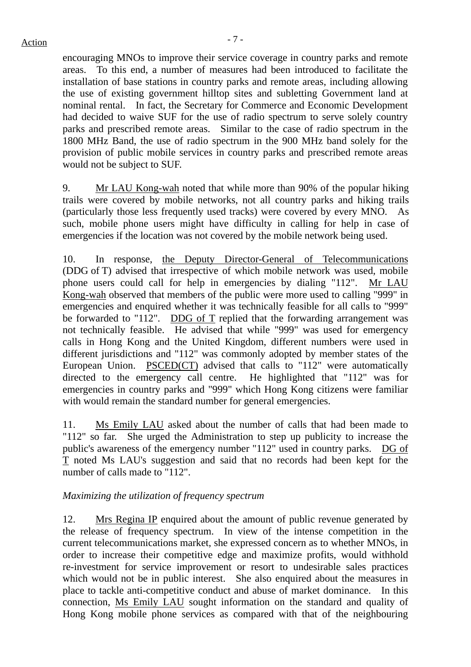### $Action$

encouraging MNOs to improve their service coverage in country parks and remote areas. To this end, a number of measures had been introduced to facilitate the installation of base stations in country parks and remote areas, including allowing the use of existing government hilltop sites and subletting Government land at nominal rental. In fact, the Secretary for Commerce and Economic Development had decided to waive SUF for the use of radio spectrum to serve solely country parks and prescribed remote areas. Similar to the case of radio spectrum in the 1800 MHz Band, the use of radio spectrum in the 900 MHz band solely for the provision of public mobile services in country parks and prescribed remote areas would not be subject to SUF.

9. Mr LAU Kong-wah noted that while more than 90% of the popular hiking trails were covered by mobile networks, not all country parks and hiking trails (particularly those less frequently used tracks) were covered by every MNO. As such, mobile phone users might have difficulty in calling for help in case of emergencies if the location was not covered by the mobile network being used.

10. In response, the Deputy Director-General of Telecommunications (DDG of T) advised that irrespective of which mobile network was used, mobile phone users could call for help in emergencies by dialing "112". Mr LAU Kong-wah observed that members of the public were more used to calling "999" in emergencies and enquired whether it was technically feasible for all calls to "999" be forwarded to "112". DDG of T replied that the forwarding arrangement was not technically feasible. He advised that while "999" was used for emergency calls in Hong Kong and the United Kingdom, different numbers were used in different jurisdictions and "112" was commonly adopted by member states of the European Union. PSCED(CT) advised that calls to "112" were automatically directed to the emergency call centre. He highlighted that "112" was for emergencies in country parks and "999" which Hong Kong citizens were familiar with would remain the standard number for general emergencies.

11. Ms Emily LAU asked about the number of calls that had been made to "112" so far. She urged the Administration to step up publicity to increase the public's awareness of the emergency number "112" used in country parks. DG of T noted Ms LAU's suggestion and said that no records had been kept for the number of calls made to "112".

#### *Maximizing the utilization of frequency spectrum*

12. Mrs Regina IP enquired about the amount of public revenue generated by the release of frequency spectrum. In view of the intense competition in the current telecommunications market, she expressed concern as to whether MNOs, in order to increase their competitive edge and maximize profits, would withhold re-investment for service improvement or resort to undesirable sales practices which would not be in public interest. She also enquired about the measures in place to tackle anti-competitive conduct and abuse of market dominance. In this connection, Ms Emily LAU sought information on the standard and quality of Hong Kong mobile phone services as compared with that of the neighbouring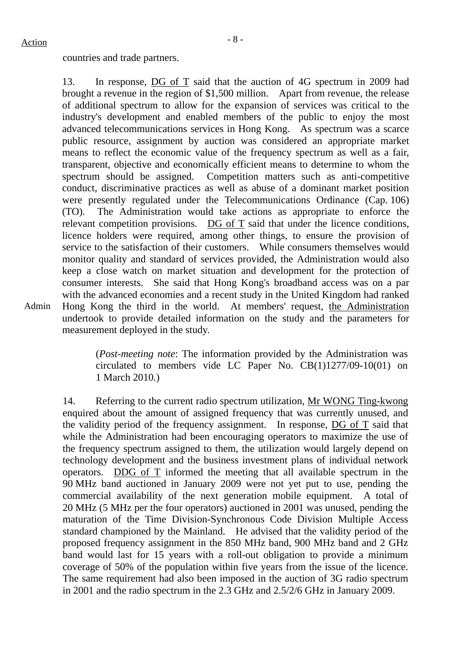Admin

#### countries and trade partners.

13. In response, DG of T said that the auction of 4G spectrum in 2009 had brought a revenue in the region of \$1,500 million.Apart from revenue, the release of additional spectrum to allow for the expansion of services was critical to the industry's development and enabled members of the public to enjoy the most advanced telecommunications services in Hong Kong. As spectrum was a scarce public resource, assignment by auction was considered an appropriate market means to reflect the economic value of the frequency spectrum as well as a fair, transparent, objective and economically efficient means to determine to whom the spectrum should be assigned. Competition matters such as anti-competitive conduct, discriminative practices as well as abuse of a dominant market position were presently regulated under the Telecommunications Ordinance (Cap. 106) (TO). The Administration would take actions as appropriate to enforce the relevant competition provisions. DG of T said that under the licence conditions, licence holders were required, among other things, to ensure the provision of service to the satisfaction of their customers. While consumers themselves would monitor quality and standard of services provided, the Administration would also keep a close watch on market situation and development for the protection of consumer interests. She said that Hong Kong's broadband access was on a par with the advanced economies and a recent study in the United Kingdom had ranked Hong Kong the third in the world. At members' request, the Administration undertook to provide detailed information on the study and the parameters for measurement deployed in the study.

> (*Post-meeting note*: The information provided by the Administration was circulated to members vide LC Paper No. CB(1)1277/09-10(01) on 1 March 2010.)

14. Referring to the current radio spectrum utilization, Mr WONG Ting-kwong enquired about the amount of assigned frequency that was currently unused, and the validity period of the frequency assignment. In response, DG of T said that while the Administration had been encouraging operators to maximize the use of the frequency spectrum assigned to them, the utilization would largely depend on technology development and the business investment plans of individual network operators. DDG of T informed the meeting that all available spectrum in the 90 MHz band auctioned in January 2009 were not yet put to use, pending the commercial availability of the next generation mobile equipment. A total of 20 MHz (5 MHz per the four operators) auctioned in 2001 was unused, pending the maturation of the Time Division-Synchronous Code Division Multiple Access standard championed by the Mainland. He advised that the validity period of the proposed frequency assignment in the 850 MHz band, 900 MHz band and 2 GHz band would last for 15 years with a roll-out obligation to provide a minimum coverage of 50% of the population within five years from the issue of the licence. The same requirement had also been imposed in the auction of 3G radio spectrum in 2001 and the radio spectrum in the 2.3 GHz and 2.5/2/6 GHz in January 2009.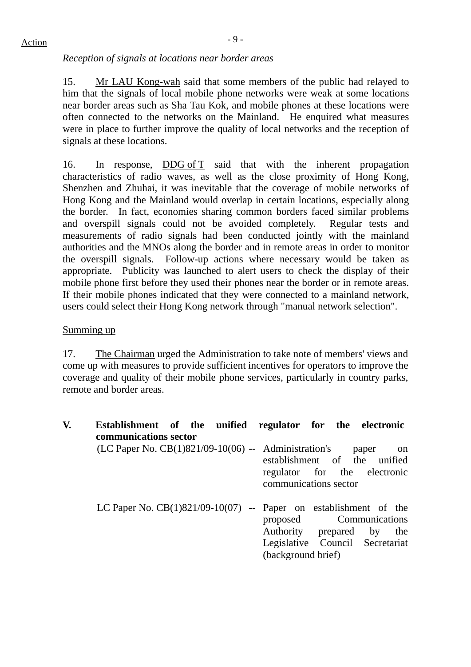#### *Reception of signals at locations near border areas*

15. Mr LAU Kong-wah said that some members of the public had relayed to him that the signals of local mobile phone networks were weak at some locations near border areas such as Sha Tau Kok, and mobile phones at these locations were often connected to the networks on the Mainland. He enquired what measures were in place to further improve the quality of local networks and the reception of signals at these locations.

16. In response, DDG of T said that with the inherent propagation characteristics of radio waves, as well as the close proximity of Hong Kong, Shenzhen and Zhuhai, it was inevitable that the coverage of mobile networks of Hong Kong and the Mainland would overlap in certain locations, especially along the border. In fact, economies sharing common borders faced similar problems and overspill signals could not be avoided completely. Regular tests and measurements of radio signals had been conducted jointly with the mainland authorities and the MNOs along the border and in remote areas in order to monitor the overspill signals. Follow-up actions where necessary would be taken as appropriate. Publicity was launched to alert users to check the display of their mobile phone first before they used their phones near the border or in remote areas. If their mobile phones indicated that they were connected to a mainland network, users could select their Hong Kong network through "manual network selection".

#### Summing up

17. The Chairman urged the Administration to take note of members' views and come up with measures to provide sufficient incentives for operators to improve the coverage and quality of their mobile phone services, particularly in country parks, remote and border areas.

| V. | Establishment of the unified regulator for the electronic<br>communications sector |  |                                                                                                               |  |       |    |
|----|------------------------------------------------------------------------------------|--|---------------------------------------------------------------------------------------------------------------|--|-------|----|
|    | (LC Paper No. $CB(1)821/09-10(06)$ -- Administration's                             |  | establishment of the unified<br>regulator for the electronic<br>communications sector                         |  | paper | on |
|    | LC Paper No. $CB(1)821/09-10(07)$ -- Paper on establishment of the                 |  | proposed Communications<br>Authority prepared by the<br>Legislative Council Secretariat<br>(background brief) |  |       |    |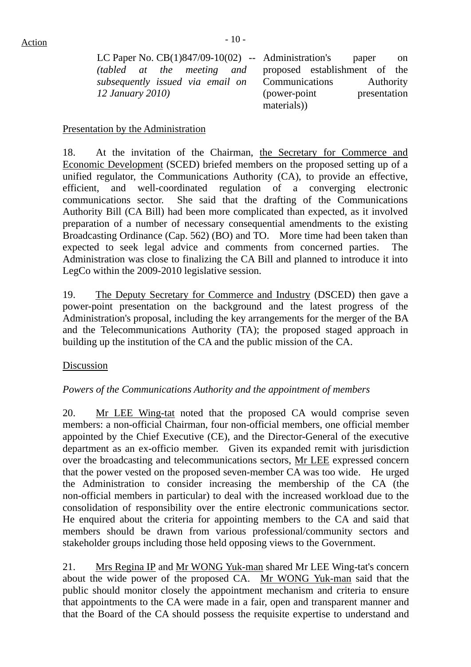LC Paper No. CB(1)847/09-10(02) *(tabled at the meeting and subsequently issued via email on 12 January 2010)*  Administration's paper on proposed establishment of the Communications Authority (power-point presentation materials))

#### Presentation by the Administration

18. At the invitation of the Chairman, the Secretary for Commerce and Economic Development (SCED) briefed members on the proposed setting up of a unified regulator, the Communications Authority (CA), to provide an effective, efficient, and well-coordinated regulation of a converging electronic communications sector. She said that the drafting of the Communications Authority Bill (CA Bill) had been more complicated than expected, as it involved preparation of a number of necessary consequential amendments to the existing Broadcasting Ordinance (Cap. 562) (BO) and TO. More time had been taken than expected to seek legal advice and comments from concerned parties. The Administration was close to finalizing the CA Bill and planned to introduce it into LegCo within the 2009-2010 legislative session.

19. The Deputy Secretary for Commerce and Industry (DSCED) then gave a power-point presentation on the background and the latest progress of the Administration's proposal, including the key arrangements for the merger of the BA and the Telecommunications Authority (TA); the proposed staged approach in building up the institution of the CA and the public mission of the CA.

#### Discussion

#### *Powers of the Communications Authority and the appointment of members*

20. Mr LEE Wing-tat noted that the proposed CA would comprise seven members: a non-official Chairman, four non-official members, one official member appointed by the Chief Executive (CE), and the Director-General of the executive department as an ex-officio member. Given its expanded remit with jurisdiction over the broadcasting and telecommunications sectors, Mr LEE expressed concern that the power vested on the proposed seven-member CA was too wide. He urged the Administration to consider increasing the membership of the CA (the non-official members in particular) to deal with the increased workload due to the consolidation of responsibility over the entire electronic communications sector. He enquired about the criteria for appointing members to the CA and said that members should be drawn from various professional/community sectors and stakeholder groups including those held opposing views to the Government.

21. Mrs Regina IP and Mr WONG Yuk-man shared Mr LEE Wing-tat's concern about the wide power of the proposed CA. Mr WONG Yuk-man said that the public should monitor closely the appointment mechanism and criteria to ensure that appointments to the CA were made in a fair, open and transparent manner and that the Board of the CA should possess the requisite expertise to understand and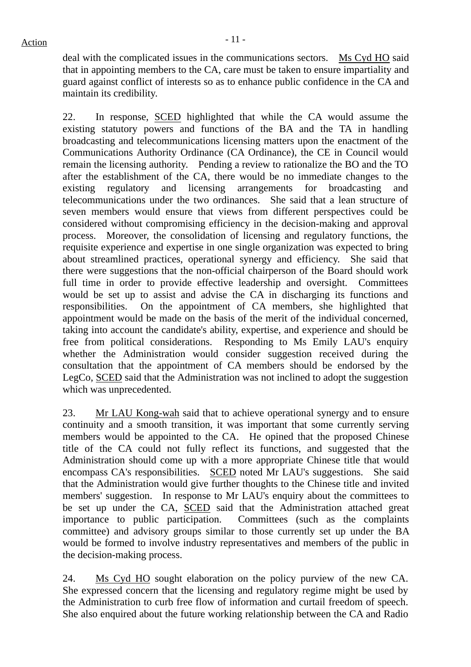deal with the complicated issues in the communications sectors. Ms Cyd HO said that in appointing members to the CA, care must be taken to ensure impartiality and guard against conflict of interests so as to enhance public confidence in the CA and maintain its credibility.

22. In response, SCED highlighted that while the CA would assume the existing statutory powers and functions of the BA and the TA in handling broadcasting and telecommunications licensing matters upon the enactment of the Communications Authority Ordinance (CA Ordinance), the CE in Council would remain the licensing authority. Pending a review to rationalize the BO and the TO after the establishment of the CA, there would be no immediate changes to the existing regulatory and licensing arrangements for broadcasting and telecommunications under the two ordinances. She said that a lean structure of seven members would ensure that views from different perspectives could be considered without compromising efficiency in the decision-making and approval process. Moreover, the consolidation of licensing and regulatory functions, the requisite experience and expertise in one single organization was expected to bring about streamlined practices, operational synergy and efficiency. She said that there were suggestions that the non-official chairperson of the Board should work full time in order to provide effective leadership and oversight. Committees would be set up to assist and advise the CA in discharging its functions and responsibilities. On the appointment of CA members, she highlighted that appointment would be made on the basis of the merit of the individual concerned, taking into account the candidate's ability, expertise, and experience and should be free from political considerations. Responding to Ms Emily LAU's enquiry whether the Administration would consider suggestion received during the consultation that the appointment of CA members should be endorsed by the LegCo, SCED said that the Administration was not inclined to adopt the suggestion which was unprecedented.

23. Mr LAU Kong-wah said that to achieve operational synergy and to ensure continuity and a smooth transition, it was important that some currently serving members would be appointed to the CA. He opined that the proposed Chinese title of the CA could not fully reflect its functions, and suggested that the Administration should come up with a more appropriate Chinese title that would encompass CA's responsibilities. SCED noted Mr LAU's suggestions. She said that the Administration would give further thoughts to the Chinese title and invited members' suggestion. In response to Mr LAU's enquiry about the committees to be set up under the CA, SCED said that the Administration attached great importance to public participation. Committees (such as the complaints committee) and advisory groups similar to those currently set up under the BA would be formed to involve industry representatives and members of the public in the decision-making process.

24. Ms Cyd HO sought elaboration on the policy purview of the new CA. She expressed concern that the licensing and regulatory regime might be used by the Administration to curb free flow of information and curtail freedom of speech. She also enquired about the future working relationship between the CA and Radio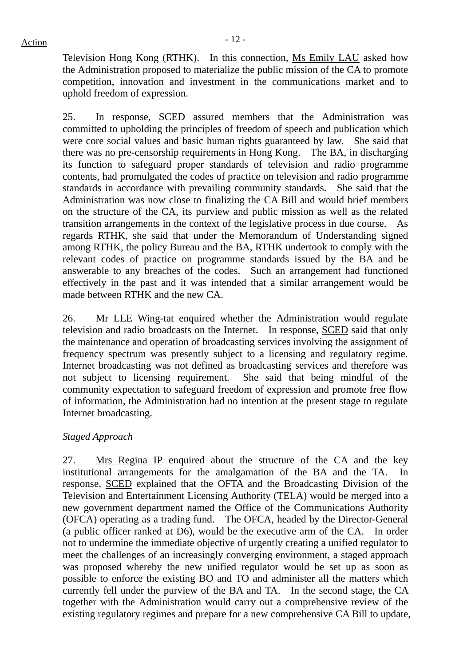Television Hong Kong (RTHK). In this connection, Ms Emily LAU asked how the Administration proposed to materialize the public mission of the CA to promote competition, innovation and investment in the communications market and to uphold freedom of expression.

25. In response, SCED assured members that the Administration was committed to upholding the principles of freedom of speech and publication which were core social values and basic human rights guaranteed by law. She said that there was no pre-censorship requirements in Hong Kong. The BA, in discharging its function to safeguard proper standards of television and radio programme contents, had promulgated the codes of practice on television and radio programme standards in accordance with prevailing community standards. She said that the Administration was now close to finalizing the CA Bill and would brief members on the structure of the CA, its purview and public mission as well as the related transition arrangements in the context of the legislative process in due course. As regards RTHK, she said that under the Memorandum of Understanding signed among RTHK, the policy Bureau and the BA, RTHK undertook to comply with the relevant codes of practice on programme standards issued by the BA and be answerable to any breaches of the codes. Such an arrangement had functioned effectively in the past and it was intended that a similar arrangement would be made between RTHK and the new CA.

26. Mr LEE Wing-tat enquired whether the Administration would regulate television and radio broadcasts on the Internet. In response, SCED said that only the maintenance and operation of broadcasting services involving the assignment of frequency spectrum was presently subject to a licensing and regulatory regime. Internet broadcasting was not defined as broadcasting services and therefore was not subject to licensing requirement. She said that being mindful of the community expectation to safeguard freedom of expression and promote free flow of information, the Administration had no intention at the present stage to regulate Internet broadcasting.

#### *Staged Approach*

27. Mrs Regina IP enquired about the structure of the CA and the key institutional arrangements for the amalgamation of the BA and the TA. In response, SCED explained that the OFTA and the Broadcasting Division of the Television and Entertainment Licensing Authority (TELA) would be merged into a new government department named the Office of the Communications Authority (OFCA) operating as a trading fund. The OFCA, headed by the Director-General (a public officer ranked at D6), would be the executive arm of the CA. In order not to undermine the immediate objective of urgently creating a unified regulator to meet the challenges of an increasingly converging environment, a staged approach was proposed whereby the new unified regulator would be set up as soon as possible to enforce the existing BO and TO and administer all the matters which currently fell under the purview of the BA and TA. In the second stage, the CA together with the Administration would carry out a comprehensive review of the existing regulatory regimes and prepare for a new comprehensive CA Bill to update,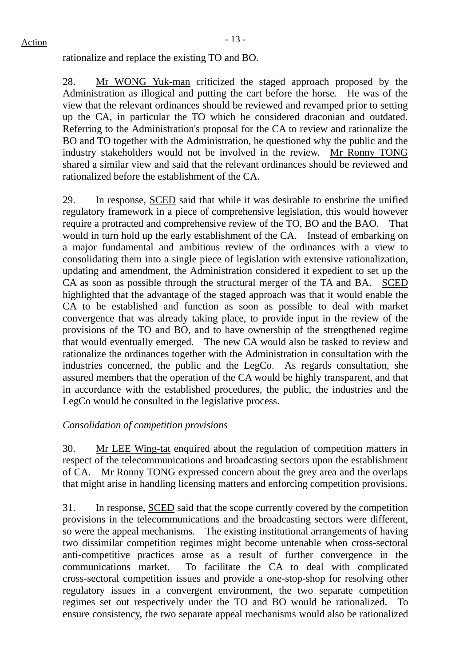rationalize and replace the existing TO and BO.

28. Mr WONG Yuk-man criticized the staged approach proposed by the Administration as illogical and putting the cart before the horse. He was of the view that the relevant ordinances should be reviewed and revamped prior to setting up the CA, in particular the TO which he considered draconian and outdated. Referring to the Administration's proposal for the CA to review and rationalize the BO and TO together with the Administration, he questioned why the public and the industry stakeholders would not be involved in the review. Mr Ronny TONG shared a similar view and said that the relevant ordinances should be reviewed and rationalized before the establishment of the CA.

29. In response, SCED said that while it was desirable to enshrine the unified regulatory framework in a piece of comprehensive legislation, this would however require a protracted and comprehensive review of the TO, BO and the BAO. That would in turn hold up the early establishment of the CA. Instead of embarking on a major fundamental and ambitious review of the ordinances with a view to consolidating them into a single piece of legislation with extensive rationalization, updating and amendment, the Administration considered it expedient to set up the CA as soon as possible through the structural merger of the TA and BA. SCED highlighted that the advantage of the staged approach was that it would enable the CA to be established and function as soon as possible to deal with market convergence that was already taking place, to provide input in the review of the provisions of the TO and BO, and to have ownership of the strengthened regime that would eventually emerged. The new CA would also be tasked to review and rationalize the ordinances together with the Administration in consultation with the industries concerned, the public and the LegCo. As regards consultation, she assured members that the operation of the CA would be highly transparent, and that in accordance with the established procedures, the public, the industries and the LegCo would be consulted in the legislative process.

#### *Consolidation of competition provisions*

30. Mr LEE Wing-tat enquired about the regulation of competition matters in respect of the telecommunications and broadcasting sectors upon the establishment of CA. Mr Ronny TONG expressed concern about the grey area and the overlaps that might arise in handling licensing matters and enforcing competition provisions.

31. In response, SCED said that the scope currently covered by the competition provisions in the telecommunications and the broadcasting sectors were different, so were the appeal mechanisms. The existing institutional arrangements of having two dissimilar competition regimes might become untenable when cross-sectoral anti-competitive practices arose as a result of further convergence in the communications market. To facilitate the CA to deal with complicated cross-sectoral competition issues and provide a one-stop-shop for resolving other regulatory issues in a convergent environment, the two separate competition regimes set out respectively under the TO and BO would be rationalized. ensure consistency, the two separate appeal mechanisms would also be rationalized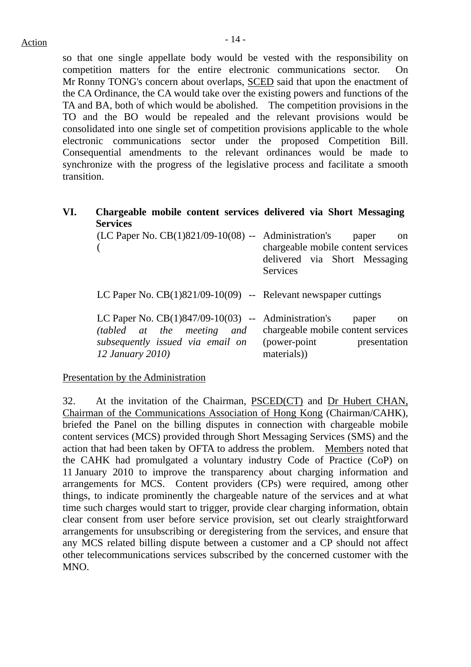so that one single appellate body would be vested with the responsibility on competition matters for the entire electronic communications sector. On Mr Ronny TONG's concern about overlaps, SCED said that upon the enactment of the CA Ordinance, the CA would take over the existing powers and functions of the TA and BA, both of which would be abolished. The competition provisions in the TO and the BO would be repealed and the relevant provisions would be consolidated into one single set of competition provisions applicable to the whole electronic communications sector under the proposed Competition Bill. Consequential amendments to the relevant ordinances would be made to synchronize with the progress of the legislative process and facilitate a smooth transition.

**VI. Chargeable mobile content services delivered via Short Messaging Services**

| $(LC$ Paper No. $CB(1)821/09-10(08)$ -- Administration's                                                                                    | paper<br><sub>on</sub><br>chargeable mobile content services<br>delivered via Short Messaging<br><b>Services</b> |
|---------------------------------------------------------------------------------------------------------------------------------------------|------------------------------------------------------------------------------------------------------------------|
| LC Paper No. $CB(1)821/09-10(09)$ -- Relevant newspaper cuttings                                                                            |                                                                                                                  |
| LC Paper No. $CB(1)847/09-10(03)$ -- Administration's<br>(tabled at the meeting and<br>subsequently issued via email on<br>12 January 2010) | paper<br><sub>on</sub><br>chargeable mobile content services<br>(power-point)<br>presentation<br>materials)      |

Presentation by the Administration

32. At the invitation of the Chairman, PSCED(CT) and Dr Hubert CHAN, Chairman of the Communications Association of Hong Kong (Chairman/CAHK), briefed the Panel on the billing disputes in connection with chargeable mobile content services (MCS) provided through Short Messaging Services (SMS) and the action that had been taken by OFTA to address the problem. Members noted that the CAHK had promulgated a voluntary industry Code of Practice (CoP) on 11 January 2010 to improve the transparency about charging information and arrangements for MCS. Content providers (CPs) were required, among other things, to indicate prominently the chargeable nature of the services and at what time such charges would start to trigger, provide clear charging information, obtain clear consent from user before service provision, set out clearly straightforward arrangements for unsubscribing or deregistering from the services, and ensure that any MCS related billing dispute between a customer and a CP should not affect other telecommunications services subscribed by the concerned customer with the MNO.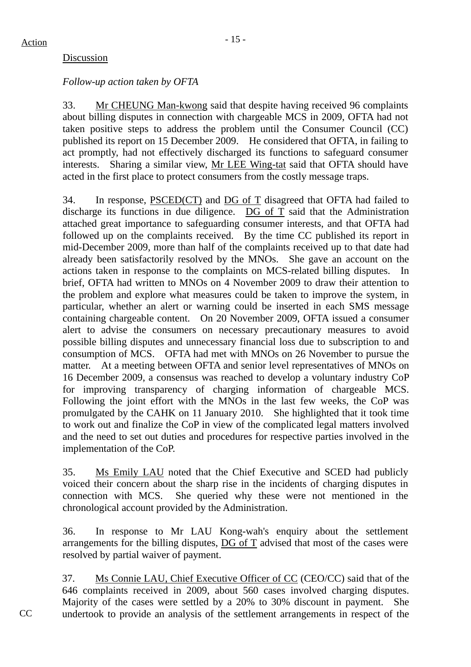#### Discussion

#### *Follow-up action taken by OFTA*

33. Mr CHEUNG Man-kwong said that despite having received 96 complaints about billing disputes in connection with chargeable MCS in 2009, OFTA had not taken positive steps to address the problem until the Consumer Council (CC) published its report on 15 December 2009. He considered that OFTA, in failing to act promptly, had not effectively discharged its functions to safeguard consumer interests. Sharing a similar view, Mr LEE Wing-tat said that OFTA should have acted in the first place to protect consumers from the costly message traps.

34. In response, PSCED(CT) and DG of T disagreed that OFTA had failed to discharge its functions in due diligence. DG of T said that the Administration attached great importance to safeguarding consumer interests, and that OFTA had followed up on the complaints received. By the time CC published its report in mid-December 2009, more than half of the complaints received up to that date had already been satisfactorily resolved by the MNOs. She gave an account on the actions taken in response to the complaints on MCS-related billing disputes. In brief, OFTA had written to MNOs on 4 November 2009 to draw their attention to the problem and explore what measures could be taken to improve the system, in particular, whether an alert or warning could be inserted in each SMS message containing chargeable content. On 20 November 2009, OFTA issued a consumer alert to advise the consumers on necessary precautionary measures to avoid possible billing disputes and unnecessary financial loss due to subscription to and consumption of MCS. OFTA had met with MNOs on 26 November to pursue the matter. At a meeting between OFTA and senior level representatives of MNOs on 16 December 2009, a consensus was reached to develop a voluntary industry CoP for improving transparency of charging information of chargeable MCS. Following the joint effort with the MNOs in the last few weeks, the CoP was promulgated by the CAHK on 11 January 2010. She highlighted that it took time to work out and finalize the CoP in view of the complicated legal matters involved and the need to set out duties and procedures for respective parties involved in the implementation of the CoP.

35. Ms Emily LAU noted that the Chief Executive and SCED had publicly voiced their concern about the sharp rise in the incidents of charging disputes in connection with MCS. She queried why these were not mentioned in the chronological account provided by the Administration.

36. In response to Mr LAU Kong-wah's enquiry about the settlement arrangements for the billing disputes, DG of T advised that most of the cases were resolved by partial waiver of payment.

37. Ms Connie LAU, Chief Executive Officer of CC (CEO/CC) said that of the 646 complaints received in 2009, about 560 cases involved charging disputes. Majority of the cases were settled by a 20% to 30% discount in payment. She undertook to provide an analysis of the settlement arrangements in respect of the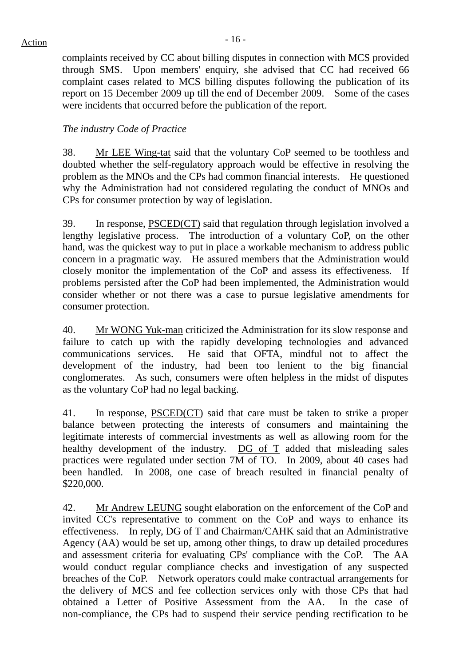complaints received by CC about billing disputes in connection with MCS provided through SMS. Upon members' enquiry, she advised that CC had received 66 complaint cases related to MCS billing disputes following the publication of its report on 15 December 2009 up till the end of December 2009. Some of the cases were incidents that occurred before the publication of the report.

#### *The industry Code of Practice*

38. Mr LEE Wing-tat said that the voluntary CoP seemed to be toothless and doubted whether the self-regulatory approach would be effective in resolving the problem as the MNOs and the CPs had common financial interests. He questioned why the Administration had not considered regulating the conduct of MNOs and CPs for consumer protection by way of legislation.

39. In response, PSCED(CT) said that regulation through legislation involved a lengthy legislative process. The introduction of a voluntary CoP, on the other hand, was the quickest way to put in place a workable mechanism to address public concern in a pragmatic way. He assured members that the Administration would closely monitor the implementation of the CoP and assess its effectiveness. If problems persisted after the CoP had been implemented, the Administration would consider whether or not there was a case to pursue legislative amendments for consumer protection.

40. Mr WONG Yuk-man criticized the Administration for its slow response and failure to catch up with the rapidly developing technologies and advanced communications services. He said that OFTA, mindful not to affect the development of the industry, had been too lenient to the big financial conglomerates. As such, consumers were often helpless in the midst of disputes as the voluntary CoP had no legal backing.

41. In response, PSCED(CT) said that care must be taken to strike a proper balance between protecting the interests of consumers and maintaining the legitimate interests of commercial investments as well as allowing room for the healthy development of the industry. DG of T added that misleading sales practices were regulated under section 7M of TO. In 2009, about 40 cases had been handled. In 2008, one case of breach resulted in financial penalty of \$220,000.

42. Mr Andrew LEUNG sought elaboration on the enforcement of the CoP and invited CC's representative to comment on the CoP and ways to enhance its effectiveness. In reply, DG of T and Chairman/CAHK said that an Administrative Agency (AA) would be set up, among other things, to draw up detailed procedures and assessment criteria for evaluating CPs' compliance with the CoP. The AA would conduct regular compliance checks and investigation of any suspected breaches of the CoP. Network operators could make contractual arrangements for the delivery of MCS and fee collection services only with those CPs that had obtained a Letter of Positive Assessment from the AA. In the case of non-compliance, the CPs had to suspend their service pending rectification to be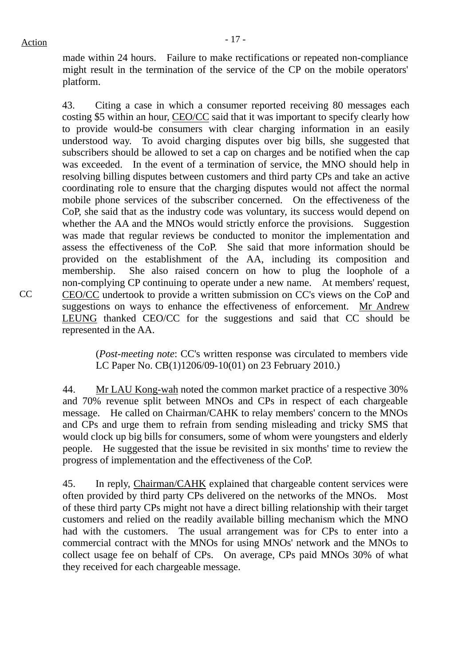made within 24 hours. Failure to make rectifications or repeated non-compliance might result in the termination of the service of the CP on the mobile operators' platform.

43. Citing a case in which a consumer reported receiving 80 messages each costing \$5 within an hour, CEO/CC said that it was important to specify clearly how to provide would-be consumers with clear charging information in an easily understood way. To avoid charging disputes over big bills, she suggested that subscribers should be allowed to set a cap on charges and be notified when the cap was exceeded. In the event of a termination of service, the MNO should help in resolving billing disputes between customers and third party CPs and take an active coordinating role to ensure that the charging disputes would not affect the normal mobile phone services of the subscriber concerned. On the effectiveness of the CoP, she said that as the industry code was voluntary, its success would depend on whether the AA and the MNOs would strictly enforce the provisions. Suggestion was made that regular reviews be conducted to monitor the implementation and assess the effectiveness of the CoP. She said that more information should be provided on the establishment of the AA, including its composition and membership. She also raised concern on how to plug the loophole of a non-complying CP continuing to operate under a new name. At members' request, CEO/CC undertook to provide a written submission on CC's views on the CoP and suggestions on ways to enhance the effectiveness of enforcement. Mr Andrew LEUNG thanked CEO/CC for the suggestions and said that CC should be represented in the AA.

(*Post-meeting note*: CC's written response was circulated to members vide LC Paper No. CB(1)1206/09-10(01) on 23 February 2010.)

44. Mr LAU Kong-wah noted the common market practice of a respective 30% and 70% revenue split between MNOs and CPs in respect of each chargeable message. He called on Chairman/CAHK to relay members' concern to the MNOs and CPs and urge them to refrain from sending misleading and tricky SMS that would clock up big bills for consumers, some of whom were youngsters and elderly people. He suggested that the issue be revisited in six months' time to review the progress of implementation and the effectiveness of the CoP.

45. In reply, Chairman/CAHK explained that chargeable content services were often provided by third party CPs delivered on the networks of the MNOs. Most of these third party CPs might not have a direct billing relationship with their target customers and relied on the readily available billing mechanism which the MNO had with the customers. The usual arrangement was for CPs to enter into a commercial contract with the MNOs for using MNOs' network and the MNOs to collect usage fee on behalf of CPs. On average, CPs paid MNOs 30% of what they received for each chargeable message.